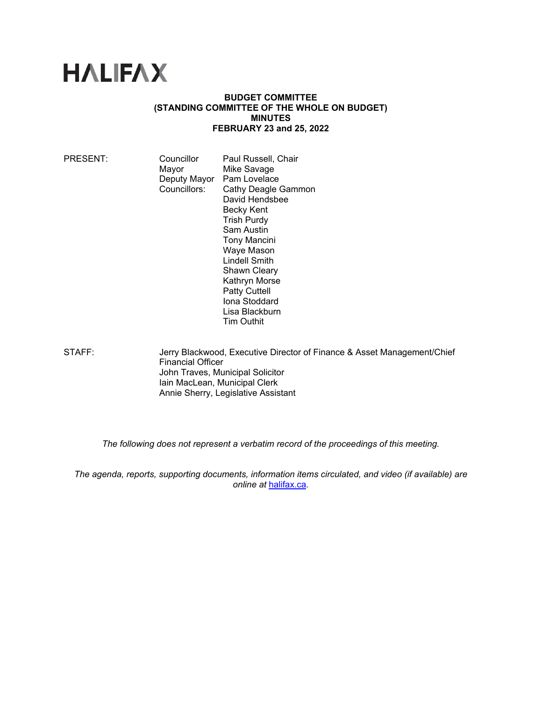# **HALIFAX**

## **BUDGET COMMITTEE (STANDING COMMITTEE OF THE WHOLE ON BUDGET) MINUTES FEBRUARY 23 and 25, 2022**

| PRESENT: | Councillor<br>Mayor<br>Deputy Mayor<br>Councillors: | Paul Russell, Chair<br>Mike Savage<br>Pam Lovelace<br>Cathy Deagle Gammon<br>David Hendsbee<br>Becky Kent<br><b>Trish Purdy</b><br>Sam Austin<br><b>Tony Mancini</b><br>Waye Mason<br><b>Lindell Smith</b><br><b>Shawn Cleary</b><br>Kathryn Morse |
|----------|-----------------------------------------------------|----------------------------------------------------------------------------------------------------------------------------------------------------------------------------------------------------------------------------------------------------|
|          |                                                     |                                                                                                                                                                                                                                                    |
|          |                                                     | <b>Patty Cuttell</b>                                                                                                                                                                                                                               |
|          |                                                     | Iona Stoddard<br>Lisa Blackburn<br><b>Tim Outhit</b>                                                                                                                                                                                               |
|          |                                                     |                                                                                                                                                                                                                                                    |

STAFF: Jerry Blackwood, Executive Director of Finance & Asset Management/Chief Financial Officer John Traves, Municipal Solicitor Iain MacLean, Municipal Clerk Annie Sherry, Legislative Assistant

*The following does not represent a verbatim record of the proceedings of this meeting.* 

*The agenda, reports, supporting documents, information items circulated, and video (if available) are online at* halifax.ca*.*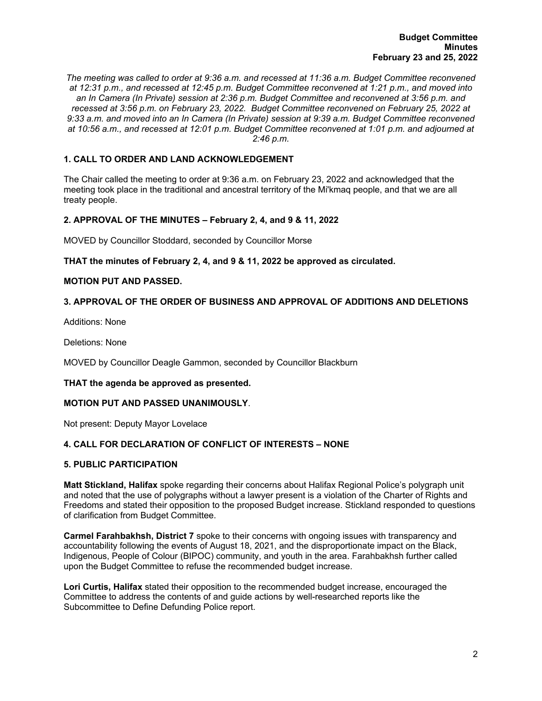*The meeting was called to order at 9:36 a.m. and recessed at 11:36 a.m. Budget Committee reconvened at 12:31 p.m., and recessed at 12:45 p.m. Budget Committee reconvened at 1:21 p.m., and moved into an In Camera (In Private) session at 2:36 p.m. Budget Committee and reconvened at 3:56 p.m. and recessed at 3:56 p.m. on February 23, 2022. Budget Committee reconvened on February 25, 2022 at 9:33 a.m. and moved into an In Camera (In Private) session at 9:39 a.m. Budget Committee reconvened at 10:56 a.m., and recessed at 12:01 p.m. Budget Committee reconvened at 1:01 p.m. and adjourned at 2:46 p.m.*

# **1. CALL TO ORDER AND LAND ACKNOWLEDGEMENT**

The Chair called the meeting to order at 9:36 a.m. on February 23, 2022 and acknowledged that the meeting took place in the traditional and ancestral territory of the Mi'kmaq people, and that we are all treaty people.

# **2. APPROVAL OF THE MINUTES – February 2, 4, and 9 & 11, 2022**

MOVED by Councillor Stoddard, seconded by Councillor Morse

## **THAT the minutes of February 2, 4, and 9 & 11, 2022 be approved as circulated.**

## **MOTION PUT AND PASSED.**

# **3. APPROVAL OF THE ORDER OF BUSINESS AND APPROVAL OF ADDITIONS AND DELETIONS**

Additions: None

Deletions: None

MOVED by Councillor Deagle Gammon, seconded by Councillor Blackburn

## **THAT the agenda be approved as presented.**

## **MOTION PUT AND PASSED UNANIMOUSLY**.

Not present: Deputy Mayor Lovelace

# **4. CALL FOR DECLARATION OF CONFLICT OF INTERESTS – NONE**

# **5. PUBLIC PARTICIPATION**

**Matt Stickland, Halifax** spoke regarding their concerns about Halifax Regional Police's polygraph unit and noted that the use of polygraphs without a lawyer present is a violation of the Charter of Rights and Freedoms and stated their opposition to the proposed Budget increase. Stickland responded to questions of clarification from Budget Committee.

**Carmel Farahbakhsh, District 7** spoke to their concerns with ongoing issues with transparency and accountability following the events of August 18, 2021, and the disproportionate impact on the Black, Indigenous, People of Colour (BIPOC) community, and youth in the area. Farahbakhsh further called upon the Budget Committee to refuse the recommended budget increase.

**Lori Curtis, Halifax** stated their opposition to the recommended budget increase, encouraged the Committee to address the contents of and guide actions by well-researched reports like the Subcommittee to Define Defunding Police report.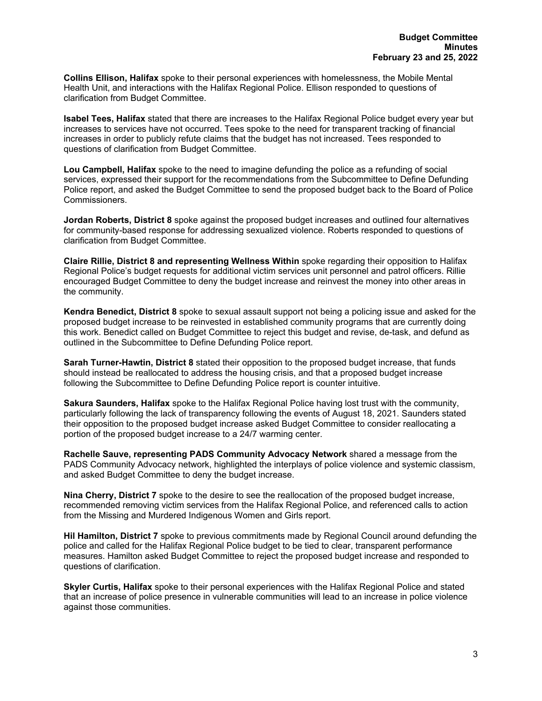**Collins Ellison, Halifax** spoke to their personal experiences with homelessness, the Mobile Mental Health Unit, and interactions with the Halifax Regional Police. Ellison responded to questions of clarification from Budget Committee.

**Isabel Tees, Halifax** stated that there are increases to the Halifax Regional Police budget every year but increases to services have not occurred. Tees spoke to the need for transparent tracking of financial increases in order to publicly refute claims that the budget has not increased. Tees responded to questions of clarification from Budget Committee.

**Lou Campbell, Halifax** spoke to the need to imagine defunding the police as a refunding of social services, expressed their support for the recommendations from the Subcommittee to Define Defunding Police report, and asked the Budget Committee to send the proposed budget back to the Board of Police Commissioners.

**Jordan Roberts, District 8** spoke against the proposed budget increases and outlined four alternatives for community-based response for addressing sexualized violence. Roberts responded to questions of clarification from Budget Committee.

**Claire Rillie, District 8 and representing Wellness Within** spoke regarding their opposition to Halifax Regional Police's budget requests for additional victim services unit personnel and patrol officers. Rillie encouraged Budget Committee to deny the budget increase and reinvest the money into other areas in the community.

**Kendra Benedict, District 8** spoke to sexual assault support not being a policing issue and asked for the proposed budget increase to be reinvested in established community programs that are currently doing this work. Benedict called on Budget Committee to reject this budget and revise, de-task, and defund as outlined in the Subcommittee to Define Defunding Police report.

**Sarah Turner-Hawtin, District 8** stated their opposition to the proposed budget increase, that funds should instead be reallocated to address the housing crisis, and that a proposed budget increase following the Subcommittee to Define Defunding Police report is counter intuitive.

**Sakura Saunders, Halifax** spoke to the Halifax Regional Police having lost trust with the community, particularly following the lack of transparency following the events of August 18, 2021. Saunders stated their opposition to the proposed budget increase asked Budget Committee to consider reallocating a portion of the proposed budget increase to a 24/7 warming center.

**Rachelle Sauve, representing PADS Community Advocacy Network** shared a message from the PADS Community Advocacy network, highlighted the interplays of police violence and systemic classism, and asked Budget Committee to deny the budget increase.

**Nina Cherry, District 7** spoke to the desire to see the reallocation of the proposed budget increase, recommended removing victim services from the Halifax Regional Police, and referenced calls to action from the Missing and Murdered Indigenous Women and Girls report.

**Hil Hamilton, District 7** spoke to previous commitments made by Regional Council around defunding the police and called for the Halifax Regional Police budget to be tied to clear, transparent performance measures. Hamilton asked Budget Committee to reject the proposed budget increase and responded to questions of clarification.

**Skyler Curtis, Halifax** spoke to their personal experiences with the Halifax Regional Police and stated that an increase of police presence in vulnerable communities will lead to an increase in police violence against those communities.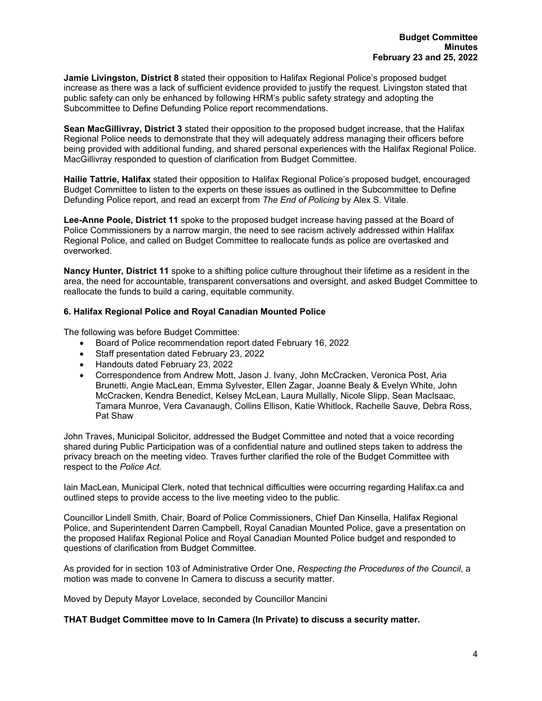**Jamie Livingston, District 8** stated their opposition to Halifax Regional Police's proposed budget increase as there was a lack of sufficient evidence provided to justify the request. Livingston stated that public safety can only be enhanced by following HRM's public safety strategy and adopting the Subcommittee to Define Defunding Police report recommendations.

**Sean MacGillivray, District 3** stated their opposition to the proposed budget increase, that the Halifax Regional Police needs to demonstrate that they will adequately address managing their officers before being provided with additional funding, and shared personal experiences with the Halifax Regional Police. MacGillivray responded to question of clarification from Budget Committee.

**Hailie Tattrie, Halifax** stated their opposition to Halifax Regional Police's proposed budget, encouraged Budget Committee to listen to the experts on these issues as outlined in the Subcommittee to Define Defunding Police report, and read an excerpt from *The End of Policing* by Alex S. Vitale.

**Lee-Anne Poole, District 11** spoke to the proposed budget increase having passed at the Board of Police Commissioners by a narrow margin, the need to see racism actively addressed within Halifax Regional Police, and called on Budget Committee to reallocate funds as police are overtasked and overworked.

**Nancy Hunter, District 11** spoke to a shifting police culture throughout their lifetime as a resident in the area, the need for accountable, transparent conversations and oversight, and asked Budget Committee to reallocate the funds to build a caring, equitable community.

# **6. Halifax Regional Police and Royal Canadian Mounted Police**

The following was before Budget Committee:

- Board of Police recommendation report dated February 16, 2022
- Staff presentation dated February 23, 2022
- Handouts dated February 23, 2022
- Correspondence from Andrew Mott, Jason J. Ivany, John McCracken, Veronica Post, Aria Brunetti, Angie MacLean, Emma Sylvester, Ellen Zagar, Joanne Bealy & Evelyn White, John McCracken, Kendra Benedict, Kelsey McLean, Laura Mullally, Nicole Slipp, Sean MacIsaac, Tamara Munroe, Vera Cavanaugh, Collins Ellison, Katie Whitlock, Rachelle Sauve, Debra Ross, Pat Shaw

John Traves, Municipal Solicitor, addressed the Budget Committee and noted that a voice recording shared during Public Participation was of a confidential nature and outlined steps taken to address the privacy breach on the meeting video. Traves further clarified the role of the Budget Committee with respect to the *Police Act.*

Iain MacLean, Municipal Clerk, noted that technical difficulties were occurring regarding Halifax.ca and outlined steps to provide access to the live meeting video to the public.

Councillor Lindell Smith, Chair, Board of Police Commissioners, Chief Dan Kinsella, Halifax Regional Police, and Superintendent Darren Campbell, Royal Canadian Mounted Police, gave a presentation on the proposed Halifax Regional Police and Royal Canadian Mounted Police budget and responded to questions of clarification from Budget Committee*.* 

As provided for in section 103 of Administrative Order One, *Respecting the Procedures of the Council*, a motion was made to convene In Camera to discuss a security matter.

Moved by Deputy Mayor Lovelace, seconded by Councillor Mancini

## **THAT Budget Committee move to In Camera (In Private) to discuss a security matter.**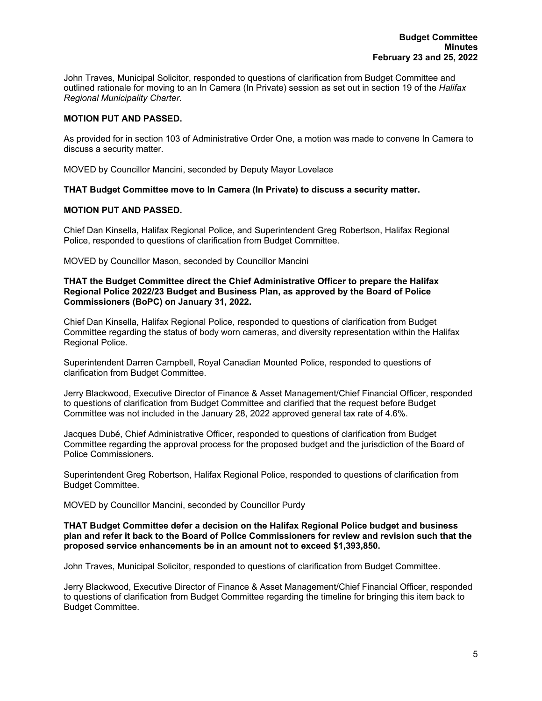John Traves, Municipal Solicitor, responded to questions of clarification from Budget Committee and outlined rationale for moving to an In Camera (In Private) session as set out in section 19 of the *Halifax Regional Municipality Charter.*

# **MOTION PUT AND PASSED.**

As provided for in section 103 of Administrative Order One, a motion was made to convene In Camera to discuss a security matter.

MOVED by Councillor Mancini, seconded by Deputy Mayor Lovelace

## **THAT Budget Committee move to In Camera (In Private) to discuss a security matter.**

## **MOTION PUT AND PASSED.**

Chief Dan Kinsella, Halifax Regional Police, and Superintendent Greg Robertson, Halifax Regional Police, responded to questions of clarification from Budget Committee.

MOVED by Councillor Mason, seconded by Councillor Mancini

**THAT the Budget Committee direct the Chief Administrative Officer to prepare the Halifax Regional Police 2022/23 Budget and Business Plan, as approved by the Board of Police Commissioners (BoPC) on January 31, 2022.**

Chief Dan Kinsella, Halifax Regional Police, responded to questions of clarification from Budget Committee regarding the status of body worn cameras, and diversity representation within the Halifax Regional Police.

Superintendent Darren Campbell, Royal Canadian Mounted Police, responded to questions of clarification from Budget Committee.

Jerry Blackwood, Executive Director of Finance & Asset Management/Chief Financial Officer, responded to questions of clarification from Budget Committee and clarified that the request before Budget Committee was not included in the January 28, 2022 approved general tax rate of 4.6%.

Jacques Dubé, Chief Administrative Officer, responded to questions of clarification from Budget Committee regarding the approval process for the proposed budget and the jurisdiction of the Board of Police Commissioners.

Superintendent Greg Robertson, Halifax Regional Police, responded to questions of clarification from Budget Committee.

MOVED by Councillor Mancini, seconded by Councillor Purdy

#### **THAT Budget Committee defer a decision on the Halifax Regional Police budget and business plan and refer it back to the Board of Police Commissioners for review and revision such that the proposed service enhancements be in an amount not to exceed \$1,393,850.**

John Traves, Municipal Solicitor, responded to questions of clarification from Budget Committee.

Jerry Blackwood, Executive Director of Finance & Asset Management/Chief Financial Officer, responded to questions of clarification from Budget Committee regarding the timeline for bringing this item back to Budget Committee.